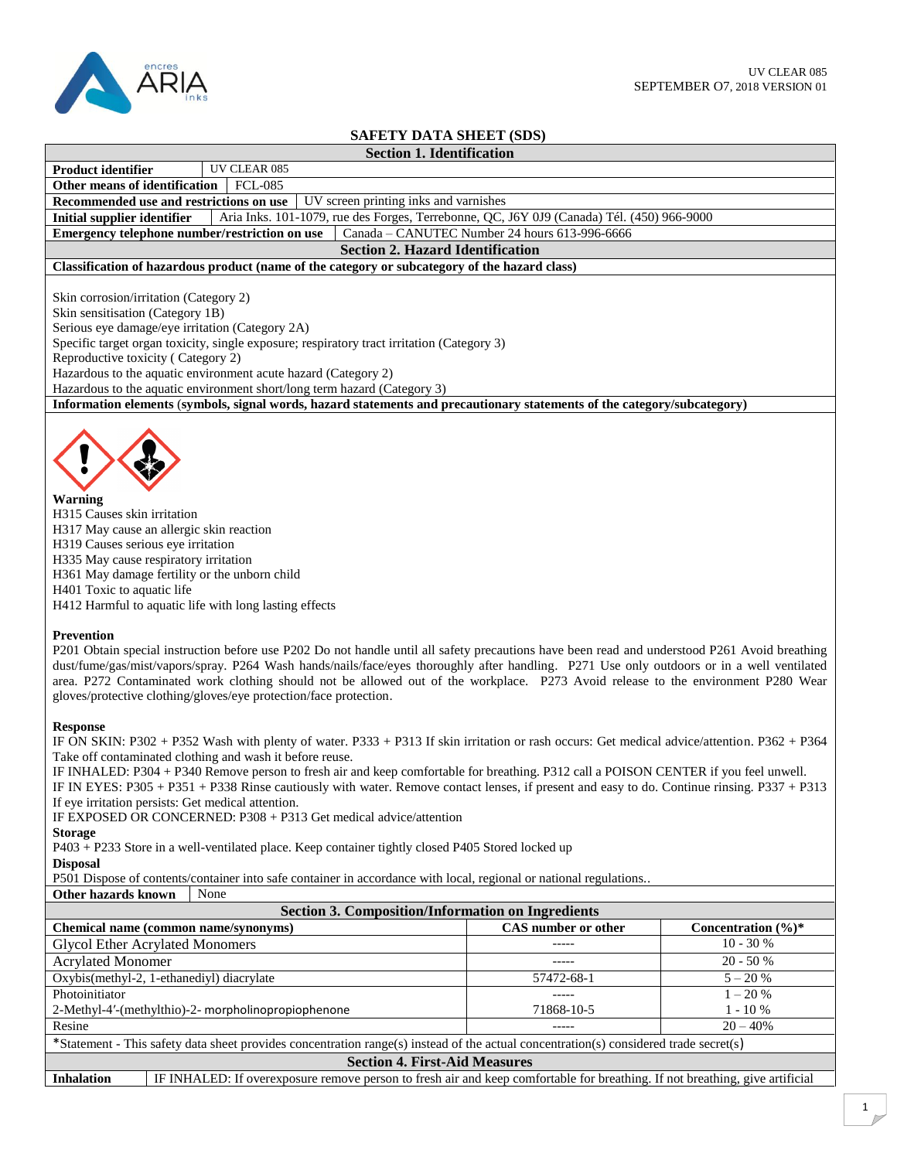

## **SAFETY DATA SHEET (SDS)**

| <b>SAFETY DATA SHEET (SDS)</b>                                                                                                                                                                                                                                                                                                                                                                                                                                                                                                                                                                                                                                                                                                                                      |                                               |                    |  |  |
|---------------------------------------------------------------------------------------------------------------------------------------------------------------------------------------------------------------------------------------------------------------------------------------------------------------------------------------------------------------------------------------------------------------------------------------------------------------------------------------------------------------------------------------------------------------------------------------------------------------------------------------------------------------------------------------------------------------------------------------------------------------------|-----------------------------------------------|--------------------|--|--|
| <b>Section 1. Identification</b>                                                                                                                                                                                                                                                                                                                                                                                                                                                                                                                                                                                                                                                                                                                                    |                                               |                    |  |  |
| UV CLEAR 085<br>Product identifier                                                                                                                                                                                                                                                                                                                                                                                                                                                                                                                                                                                                                                                                                                                                  |                                               |                    |  |  |
| Other means of identification<br><b>FCL-085</b>                                                                                                                                                                                                                                                                                                                                                                                                                                                                                                                                                                                                                                                                                                                     |                                               |                    |  |  |
| UV screen printing inks and varnishes<br>Recommended use and restrictions on use                                                                                                                                                                                                                                                                                                                                                                                                                                                                                                                                                                                                                                                                                    |                                               |                    |  |  |
| <b>Initial supplier identifier</b><br>Aria Inks. 101-1079, rue des Forges, Terrebonne, QC, J6Y 0J9 (Canada) Tél. (450) 966-9000                                                                                                                                                                                                                                                                                                                                                                                                                                                                                                                                                                                                                                     |                                               |                    |  |  |
| Emergency telephone number/restriction on use                                                                                                                                                                                                                                                                                                                                                                                                                                                                                                                                                                                                                                                                                                                       | Canada - CANUTEC Number 24 hours 613-996-6666 |                    |  |  |
| <b>Section 2. Hazard Identification</b>                                                                                                                                                                                                                                                                                                                                                                                                                                                                                                                                                                                                                                                                                                                             |                                               |                    |  |  |
| Classification of hazardous product (name of the category or subcategory of the hazard class)                                                                                                                                                                                                                                                                                                                                                                                                                                                                                                                                                                                                                                                                       |                                               |                    |  |  |
| Skin corrosion/irritation (Category 2)<br>Skin sensitisation (Category 1B)<br>Serious eye damage/eye irritation (Category 2A)<br>Specific target organ toxicity, single exposure; respiratory tract irritation (Category 3)<br>Reproductive toxicity (Category 2)                                                                                                                                                                                                                                                                                                                                                                                                                                                                                                   |                                               |                    |  |  |
| Hazardous to the aquatic environment acute hazard (Category 2)                                                                                                                                                                                                                                                                                                                                                                                                                                                                                                                                                                                                                                                                                                      |                                               |                    |  |  |
| Hazardous to the aquatic environment short/long term hazard (Category 3)                                                                                                                                                                                                                                                                                                                                                                                                                                                                                                                                                                                                                                                                                            |                                               |                    |  |  |
| Information elements (symbols, signal words, hazard statements and precautionary statements of the category/subcategory)                                                                                                                                                                                                                                                                                                                                                                                                                                                                                                                                                                                                                                            |                                               |                    |  |  |
| Warning<br>H315 Causes skin irritation<br>H317 May cause an allergic skin reaction<br>H319 Causes serious eye irritation<br>H335 May cause respiratory irritation<br>H361 May damage fertility or the unborn child<br>H401 Toxic to aquatic life<br>H412 Harmful to aquatic life with long lasting effects                                                                                                                                                                                                                                                                                                                                                                                                                                                          |                                               |                    |  |  |
| <b>Prevention</b><br>P201 Obtain special instruction before use P202 Do not handle until all safety precautions have been read and understood P261 Avoid breathing<br>dust/fume/gas/mist/vapors/spray. P264 Wash hands/nails/face/eyes thoroughly after handling. P271 Use only outdoors or in a well ventilated<br>area. P272 Contaminated work clothing should not be allowed out of the workplace. P273 Avoid release to the environment P280 Wear<br>gloves/protective clothing/gloves/eye protection/face protection.                                                                                                                                                                                                                                          |                                               |                    |  |  |
| <b>Response</b><br>IF ON SKIN: P302 + P352 Wash with plenty of water. P333 + P313 If skin irritation or rash occurs: Get medical advice/attention. P362 + P364<br>Take off contaminated clothing and wash it before reuse.<br>IF INHALED: P304 + P340 Remove person to fresh air and keep comfortable for breathing. P312 call a POISON CENTER if you feel unwell.<br>IF IN EYES: P305 + P351 + P338 Rinse cautiously with water. Remove contact lenses, if present and easy to do. Continue rinsing. P337 + P313<br>If eye irritation persists: Get medical attention.<br>IF EXPOSED OR CONCERNED: P308 + P313 Get medical advice/attention<br><b>Storage</b><br>P403 + P233 Store in a well-ventilated place. Keep container tightly closed P405 Stored locked up |                                               |                    |  |  |
| <b>Disposal</b>                                                                                                                                                                                                                                                                                                                                                                                                                                                                                                                                                                                                                                                                                                                                                     |                                               |                    |  |  |
| P501 Dispose of contents/container into safe container in accordance with local, regional or national regulations                                                                                                                                                                                                                                                                                                                                                                                                                                                                                                                                                                                                                                                   |                                               |                    |  |  |
| Other hazards known<br>None                                                                                                                                                                                                                                                                                                                                                                                                                                                                                                                                                                                                                                                                                                                                         |                                               |                    |  |  |
| <b>Section 3. Composition/Information on Ingredients</b>                                                                                                                                                                                                                                                                                                                                                                                                                                                                                                                                                                                                                                                                                                            |                                               |                    |  |  |
| Chemical name (common name/synonyms)                                                                                                                                                                                                                                                                                                                                                                                                                                                                                                                                                                                                                                                                                                                                | CAS number or other                           | Concentration (%)* |  |  |
| <b>Glycol Ether Acrylated Monomers</b>                                                                                                                                                                                                                                                                                                                                                                                                                                                                                                                                                                                                                                                                                                                              | -----                                         | $10 - 30 %$        |  |  |
| <b>Acrylated Monomer</b>                                                                                                                                                                                                                                                                                                                                                                                                                                                                                                                                                                                                                                                                                                                                            | -----                                         | 20 - 50 %          |  |  |
| Oxybis(methyl-2, 1-ethanediyl) diacrylate                                                                                                                                                                                                                                                                                                                                                                                                                                                                                                                                                                                                                                                                                                                           | 57472-68-1                                    | $5 - 20 %$         |  |  |
| Photoinitiator                                                                                                                                                                                                                                                                                                                                                                                                                                                                                                                                                                                                                                                                                                                                                      | $-----$                                       | $1 - 20%$          |  |  |
| 2-Methyl-4'-(methylthio)-2- morpholinopropiophenone                                                                                                                                                                                                                                                                                                                                                                                                                                                                                                                                                                                                                                                                                                                 | 71868-10-5                                    | $1 - 10%$          |  |  |
| Resine                                                                                                                                                                                                                                                                                                                                                                                                                                                                                                                                                                                                                                                                                                                                                              |                                               | $20 - 40%$         |  |  |

\*Statement - This safety data sheet provides concentration range(s) instead of the actual concentration(s) considered trade secret(s)

## **Section 4. First-Aid Measures**

**Inhalation** IF INHALED: If overexposure remove person to fresh air and keep comfortable for breathing. If not breathing, give artificial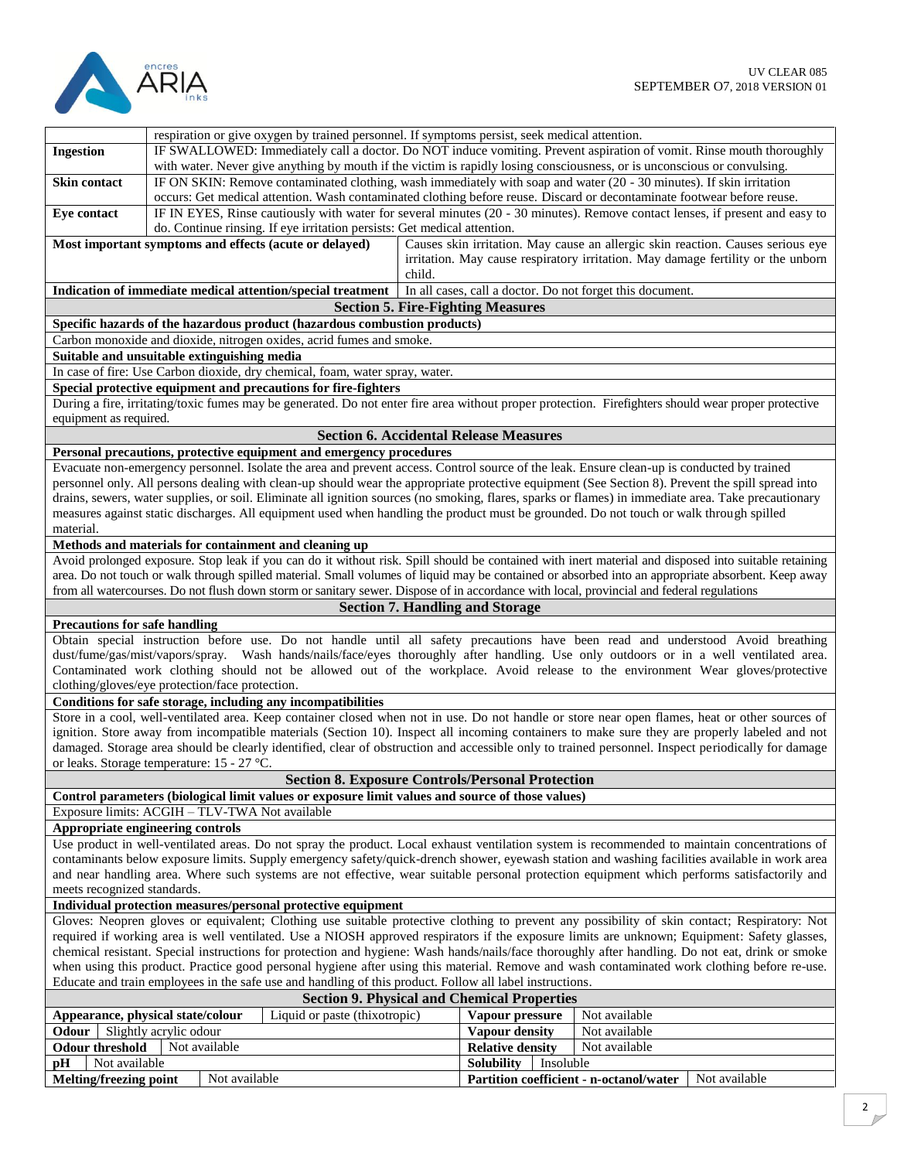

|                                                                                                                                                                                                                                                                                              |                                                                                                                          | respiration or give oxygen by trained personnel. If symptoms persist, seek medical attention.                                                        |        |                                                    |                                                           |                                                                                                                                                       |
|----------------------------------------------------------------------------------------------------------------------------------------------------------------------------------------------------------------------------------------------------------------------------------------------|--------------------------------------------------------------------------------------------------------------------------|------------------------------------------------------------------------------------------------------------------------------------------------------|--------|----------------------------------------------------|-----------------------------------------------------------|-------------------------------------------------------------------------------------------------------------------------------------------------------|
| <b>Ingestion</b>                                                                                                                                                                                                                                                                             |                                                                                                                          | IF SWALLOWED: Immediately call a doctor. Do NOT induce vomiting. Prevent aspiration of vomit. Rinse mouth thoroughly                                 |        |                                                    |                                                           |                                                                                                                                                       |
|                                                                                                                                                                                                                                                                                              | with water. Never give anything by mouth if the victim is rapidly losing consciousness, or is unconscious or convulsing. |                                                                                                                                                      |        |                                                    |                                                           |                                                                                                                                                       |
| Skin contact                                                                                                                                                                                                                                                                                 |                                                                                                                          | IF ON SKIN: Remove contaminated clothing, wash immediately with soap and water (20 - 30 minutes). If skin irritation                                 |        |                                                    |                                                           |                                                                                                                                                       |
|                                                                                                                                                                                                                                                                                              |                                                                                                                          | occurs: Get medical attention. Wash contaminated clothing before reuse. Discard or decontaminate footwear before reuse.                              |        |                                                    |                                                           |                                                                                                                                                       |
| Eye contact                                                                                                                                                                                                                                                                                  |                                                                                                                          |                                                                                                                                                      |        |                                                    |                                                           | IF IN EYES, Rinse cautiously with water for several minutes (20 - 30 minutes). Remove contact lenses, if present and easy to                          |
|                                                                                                                                                                                                                                                                                              |                                                                                                                          | do. Continue rinsing. If eye irritation persists: Get medical attention.                                                                             |        |                                                    |                                                           |                                                                                                                                                       |
|                                                                                                                                                                                                                                                                                              |                                                                                                                          | Most important symptoms and effects (acute or delayed)                                                                                               |        |                                                    |                                                           | Causes skin irritation. May cause an allergic skin reaction. Causes serious eye                                                                       |
|                                                                                                                                                                                                                                                                                              |                                                                                                                          |                                                                                                                                                      |        |                                                    |                                                           |                                                                                                                                                       |
|                                                                                                                                                                                                                                                                                              |                                                                                                                          |                                                                                                                                                      |        |                                                    |                                                           | irritation. May cause respiratory irritation. May damage fertility or the unborn                                                                      |
|                                                                                                                                                                                                                                                                                              |                                                                                                                          |                                                                                                                                                      | child. |                                                    |                                                           |                                                                                                                                                       |
|                                                                                                                                                                                                                                                                                              |                                                                                                                          | Indication of immediate medical attention/special treatment                                                                                          |        |                                                    | In all cases, call a doctor. Do not forget this document. |                                                                                                                                                       |
|                                                                                                                                                                                                                                                                                              |                                                                                                                          |                                                                                                                                                      |        | <b>Section 5. Fire-Fighting Measures</b>           |                                                           |                                                                                                                                                       |
|                                                                                                                                                                                                                                                                                              |                                                                                                                          | Specific hazards of the hazardous product (hazardous combustion products)                                                                            |        |                                                    |                                                           |                                                                                                                                                       |
|                                                                                                                                                                                                                                                                                              |                                                                                                                          | Carbon monoxide and dioxide, nitrogen oxides, acrid fumes and smoke.                                                                                 |        |                                                    |                                                           |                                                                                                                                                       |
|                                                                                                                                                                                                                                                                                              | Suitable and unsuitable extinguishing media                                                                              |                                                                                                                                                      |        |                                                    |                                                           |                                                                                                                                                       |
|                                                                                                                                                                                                                                                                                              |                                                                                                                          | In case of fire: Use Carbon dioxide, dry chemical, foam, water spray, water.                                                                         |        |                                                    |                                                           |                                                                                                                                                       |
|                                                                                                                                                                                                                                                                                              |                                                                                                                          | Special protective equipment and precautions for fire-fighters                                                                                       |        |                                                    |                                                           |                                                                                                                                                       |
|                                                                                                                                                                                                                                                                                              |                                                                                                                          | During a fire, irritating/toxic fumes may be generated. Do not enter fire area without proper protection. Firefighters should wear proper protective |        |                                                    |                                                           |                                                                                                                                                       |
| equipment as required.                                                                                                                                                                                                                                                                       |                                                                                                                          |                                                                                                                                                      |        |                                                    |                                                           |                                                                                                                                                       |
|                                                                                                                                                                                                                                                                                              |                                                                                                                          |                                                                                                                                                      |        | <b>Section 6. Accidental Release Measures</b>      |                                                           |                                                                                                                                                       |
|                                                                                                                                                                                                                                                                                              |                                                                                                                          |                                                                                                                                                      |        |                                                    |                                                           |                                                                                                                                                       |
|                                                                                                                                                                                                                                                                                              |                                                                                                                          | Personal precautions, protective equipment and emergency procedures                                                                                  |        |                                                    |                                                           |                                                                                                                                                       |
|                                                                                                                                                                                                                                                                                              |                                                                                                                          | Evacuate non-emergency personnel. Isolate the area and prevent access. Control source of the leak. Ensure clean-up is conducted by trained           |        |                                                    |                                                           |                                                                                                                                                       |
|                                                                                                                                                                                                                                                                                              |                                                                                                                          | personnel only. All persons dealing with clean-up should wear the appropriate protective equipment (See Section 8). Prevent the spill spread into    |        |                                                    |                                                           |                                                                                                                                                       |
|                                                                                                                                                                                                                                                                                              |                                                                                                                          | drains, sewers, water supplies, or soil. Eliminate all ignition sources (no smoking, flares, sparks or flames) in immediate area. Take precautionary |        |                                                    |                                                           |                                                                                                                                                       |
|                                                                                                                                                                                                                                                                                              |                                                                                                                          | measures against static discharges. All equipment used when handling the product must be grounded. Do not touch or walk through spilled              |        |                                                    |                                                           |                                                                                                                                                       |
| material.                                                                                                                                                                                                                                                                                    |                                                                                                                          |                                                                                                                                                      |        |                                                    |                                                           |                                                                                                                                                       |
|                                                                                                                                                                                                                                                                                              |                                                                                                                          | Methods and materials for containment and cleaning up                                                                                                |        |                                                    |                                                           |                                                                                                                                                       |
|                                                                                                                                                                                                                                                                                              |                                                                                                                          |                                                                                                                                                      |        |                                                    |                                                           | Avoid prolonged exposure. Stop leak if you can do it without risk. Spill should be contained with inert material and disposed into suitable retaining |
|                                                                                                                                                                                                                                                                                              |                                                                                                                          |                                                                                                                                                      |        |                                                    |                                                           | area. Do not touch or walk through spilled material. Small volumes of liquid may be contained or absorbed into an appropriate absorbent. Keep away    |
|                                                                                                                                                                                                                                                                                              |                                                                                                                          | from all watercourses. Do not flush down storm or sanitary sewer. Dispose of in accordance with local, provincial and federal regulations            |        |                                                    |                                                           |                                                                                                                                                       |
|                                                                                                                                                                                                                                                                                              |                                                                                                                          |                                                                                                                                                      |        | <b>Section 7. Handling and Storage</b>             |                                                           |                                                                                                                                                       |
| <b>Precautions for safe handling</b>                                                                                                                                                                                                                                                         |                                                                                                                          |                                                                                                                                                      |        |                                                    |                                                           |                                                                                                                                                       |
|                                                                                                                                                                                                                                                                                              |                                                                                                                          |                                                                                                                                                      |        |                                                    |                                                           | Obtain special instruction before use. Do not handle until all safety precautions have been read and understood Avoid breathing                       |
|                                                                                                                                                                                                                                                                                              |                                                                                                                          |                                                                                                                                                      |        |                                                    |                                                           | dust/fume/gas/mist/vapors/spray. Wash hands/nails/face/eyes thoroughly after handling. Use only outdoors or in a well ventilated area.                |
|                                                                                                                                                                                                                                                                                              |                                                                                                                          |                                                                                                                                                      |        |                                                    |                                                           | Contaminated work clothing should not be allowed out of the workplace. Avoid release to the environment Wear gloves/protective                        |
|                                                                                                                                                                                                                                                                                              | clothing/gloves/eye protection/face protection.                                                                          |                                                                                                                                                      |        |                                                    |                                                           |                                                                                                                                                       |
|                                                                                                                                                                                                                                                                                              |                                                                                                                          | Conditions for safe storage, including any incompatibilities                                                                                         |        |                                                    |                                                           |                                                                                                                                                       |
|                                                                                                                                                                                                                                                                                              |                                                                                                                          |                                                                                                                                                      |        |                                                    |                                                           |                                                                                                                                                       |
|                                                                                                                                                                                                                                                                                              |                                                                                                                          |                                                                                                                                                      |        |                                                    |                                                           | Store in a cool, well-ventilated area. Keep container closed when not in use. Do not handle or store near open flames, heat or other sources of       |
|                                                                                                                                                                                                                                                                                              |                                                                                                                          |                                                                                                                                                      |        |                                                    |                                                           | ignition. Store away from incompatible materials (Section 10). Inspect all incoming containers to make sure they are properly labeled and not         |
|                                                                                                                                                                                                                                                                                              |                                                                                                                          |                                                                                                                                                      |        |                                                    |                                                           | damaged. Storage area should be clearly identified, clear of obstruction and accessible only to trained personnel. Inspect periodically for damage    |
|                                                                                                                                                                                                                                                                                              | or leaks. Storage temperature: 15 - 27 °C.                                                                               |                                                                                                                                                      |        |                                                    |                                                           |                                                                                                                                                       |
| <b>Section 8. Exposure Controls/Personal Protection</b>                                                                                                                                                                                                                                      |                                                                                                                          |                                                                                                                                                      |        |                                                    |                                                           |                                                                                                                                                       |
| Control parameters (biological limit values or exposure limit values and source of those values)                                                                                                                                                                                             |                                                                                                                          |                                                                                                                                                      |        |                                                    |                                                           |                                                                                                                                                       |
| Exposure limits: ACGIH - TLV-TWA Not available                                                                                                                                                                                                                                               |                                                                                                                          |                                                                                                                                                      |        |                                                    |                                                           |                                                                                                                                                       |
| Appropriate engineering controls                                                                                                                                                                                                                                                             |                                                                                                                          |                                                                                                                                                      |        |                                                    |                                                           |                                                                                                                                                       |
| Use product in well-ventilated areas. Do not spray the product. Local exhaust ventilation system is recommended to maintain concentrations of                                                                                                                                                |                                                                                                                          |                                                                                                                                                      |        |                                                    |                                                           |                                                                                                                                                       |
| contaminants below exposure limits. Supply emergency safety/quick-drench shower, eyewash station and washing facilities available in work area                                                                                                                                               |                                                                                                                          |                                                                                                                                                      |        |                                                    |                                                           |                                                                                                                                                       |
| and near handling area. Where such systems are not effective, wear suitable personal protection equipment which performs satisfactorily and                                                                                                                                                  |                                                                                                                          |                                                                                                                                                      |        |                                                    |                                                           |                                                                                                                                                       |
| meets recognized standards.                                                                                                                                                                                                                                                                  |                                                                                                                          |                                                                                                                                                      |        |                                                    |                                                           |                                                                                                                                                       |
| Individual protection measures/personal protective equipment                                                                                                                                                                                                                                 |                                                                                                                          |                                                                                                                                                      |        |                                                    |                                                           |                                                                                                                                                       |
|                                                                                                                                                                                                                                                                                              |                                                                                                                          |                                                                                                                                                      |        |                                                    |                                                           |                                                                                                                                                       |
| Gloves: Neopren gloves or equivalent; Clothing use suitable protective clothing to prevent any possibility of skin contact; Respiratory: Not<br>required if working area is well ventilated. Use a NIOSH approved respirators if the exposure limits are unknown; Equipment: Safety glasses, |                                                                                                                          |                                                                                                                                                      |        |                                                    |                                                           |                                                                                                                                                       |
| chemical resistant. Special instructions for protection and hygiene: Wash hands/nails/face thoroughly after handling. Do not eat, drink or smoke                                                                                                                                             |                                                                                                                          |                                                                                                                                                      |        |                                                    |                                                           |                                                                                                                                                       |
|                                                                                                                                                                                                                                                                                              |                                                                                                                          |                                                                                                                                                      |        |                                                    |                                                           |                                                                                                                                                       |
|                                                                                                                                                                                                                                                                                              |                                                                                                                          |                                                                                                                                                      |        |                                                    |                                                           | when using this product. Practice good personal hygiene after using this material. Remove and wash contaminated work clothing before re-use.          |
|                                                                                                                                                                                                                                                                                              |                                                                                                                          | Educate and train employees in the safe use and handling of this product. Follow all label instructions.                                             |        |                                                    |                                                           |                                                                                                                                                       |
|                                                                                                                                                                                                                                                                                              |                                                                                                                          |                                                                                                                                                      |        | <b>Section 9. Physical and Chemical Properties</b> |                                                           |                                                                                                                                                       |
|                                                                                                                                                                                                                                                                                              | Appearance, physical state/colour                                                                                        | Liquid or paste (thixotropic)                                                                                                                        |        | Vapour pressure                                    | Not available                                             |                                                                                                                                                       |
| Odour                                                                                                                                                                                                                                                                                        | Slightly acrylic odour                                                                                                   |                                                                                                                                                      |        | Vapour density                                     | Not available                                             |                                                                                                                                                       |
|                                                                                                                                                                                                                                                                                              | <b>Odour threshold</b><br>Not available<br>Not available<br><b>Relative density</b>                                      |                                                                                                                                                      |        |                                                    |                                                           |                                                                                                                                                       |
| рH                                                                                                                                                                                                                                                                                           | Not available<br><b>Solubility</b><br>Insoluble                                                                          |                                                                                                                                                      |        |                                                    |                                                           |                                                                                                                                                       |
| Not available<br><b>Melting/freezing point</b><br>Partition coefficient - n-octanol/water                                                                                                                                                                                                    |                                                                                                                          | Not available                                                                                                                                        |        |                                                    |                                                           |                                                                                                                                                       |
|                                                                                                                                                                                                                                                                                              |                                                                                                                          |                                                                                                                                                      |        |                                                    |                                                           |                                                                                                                                                       |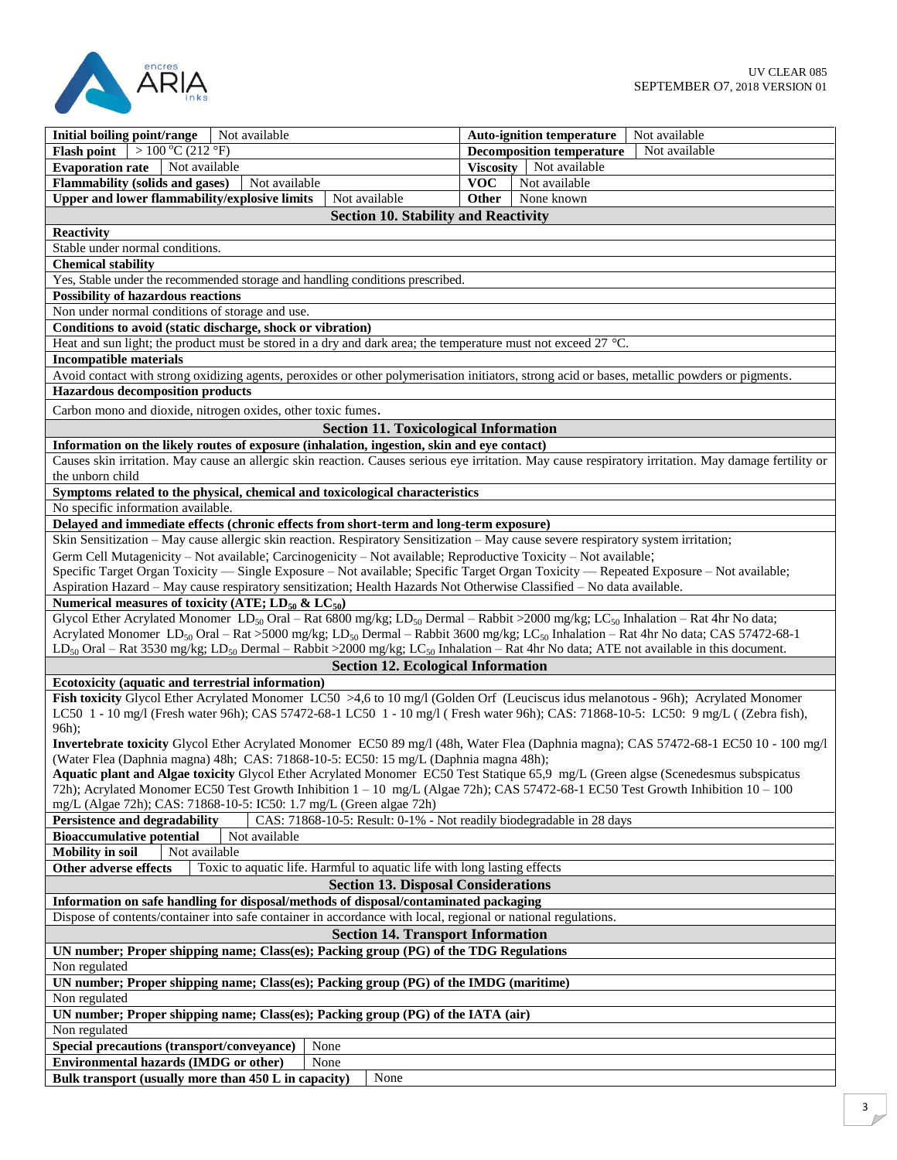

| Not available<br>Initial boiling point/range                                                                                                                             | Not available<br><b>Auto-ignition temperature</b> |  |  |
|--------------------------------------------------------------------------------------------------------------------------------------------------------------------------|---------------------------------------------------|--|--|
| $>100\,^{\circ}$ C (212 $^{\circ}$ F)<br><b>Flash point</b>                                                                                                              | Not available<br><b>Decomposition temperature</b> |  |  |
| <b>Evaporation rate</b><br>Not available                                                                                                                                 | Viscosity Not available                           |  |  |
| <b>Flammability (solids and gases)</b><br>Not available                                                                                                                  | <b>VOC</b><br>Not available                       |  |  |
| Upper and lower flammability/explosive limits<br>Not available                                                                                                           | <b>Other</b><br>None known                        |  |  |
| <b>Section 10. Stability and Reactivity</b>                                                                                                                              |                                                   |  |  |
| <b>Reactivity</b>                                                                                                                                                        |                                                   |  |  |
| Stable under normal conditions.                                                                                                                                          |                                                   |  |  |
| <b>Chemical stability</b>                                                                                                                                                |                                                   |  |  |
| Yes, Stable under the recommended storage and handling conditions prescribed.                                                                                            |                                                   |  |  |
|                                                                                                                                                                          |                                                   |  |  |
| <b>Possibility of hazardous reactions</b><br>Non under normal conditions of storage and use.                                                                             |                                                   |  |  |
|                                                                                                                                                                          |                                                   |  |  |
| Conditions to avoid (static discharge, shock or vibration)                                                                                                               |                                                   |  |  |
| Heat and sun light; the product must be stored in a dry and dark area; the temperature must not exceed 27 °C.                                                            |                                                   |  |  |
| <b>Incompatible materials</b>                                                                                                                                            |                                                   |  |  |
| Avoid contact with strong oxidizing agents, peroxides or other polymerisation initiators, strong acid or bases, metallic powders or pigments.                            |                                                   |  |  |
| <b>Hazardous decomposition products</b>                                                                                                                                  |                                                   |  |  |
| Carbon mono and dioxide, nitrogen oxides, other toxic fumes.                                                                                                             |                                                   |  |  |
| <b>Section 11. Toxicological Information</b>                                                                                                                             |                                                   |  |  |
| Information on the likely routes of exposure (inhalation, ingestion, skin and eye contact)                                                                               |                                                   |  |  |
| Causes skin irritation. May cause an allergic skin reaction. Causes serious eye irritation. May cause respiratory irritation. May damage fertility or                    |                                                   |  |  |
| the unborn child                                                                                                                                                         |                                                   |  |  |
| Symptoms related to the physical, chemical and toxicological characteristics                                                                                             |                                                   |  |  |
| No specific information available.                                                                                                                                       |                                                   |  |  |
| Delayed and immediate effects (chronic effects from short-term and long-term exposure)                                                                                   |                                                   |  |  |
| Skin Sensitization - May cause allergic skin reaction. Respiratory Sensitization - May cause severe respiratory system irritation;                                       |                                                   |  |  |
| Germ Cell Mutagenicity – Not available; Carcinogenicity – Not available; Reproductive Toxicity – Not available;                                                          |                                                   |  |  |
| Specific Target Organ Toxicity — Single Exposure - Not available; Specific Target Organ Toxicity — Repeated Exposure - Not available;                                    |                                                   |  |  |
| Aspiration Hazard - May cause respiratory sensitization; Health Hazards Not Otherwise Classified - No data available.                                                    |                                                   |  |  |
| Numerical measures of toxicity (ATE; $LD_{50}$ & $LC_{50}$ )                                                                                                             |                                                   |  |  |
| Glycol Ether Acrylated Monomer LD <sub>50</sub> Oral – Rat 6800 mg/kg; LD <sub>50</sub> Dermal – Rabbit >2000 mg/kg; LC <sub>50</sub> Inhalation – Rat 4hr No data;      |                                                   |  |  |
| Acrylated Monomer LD <sub>50</sub> Oral - Rat >5000 mg/kg; LD <sub>50</sub> Dermal - Rabbit 3600 mg/kg; LC <sub>50</sub> Inhalation - Rat 4hr No data; CAS 57472-68-1    |                                                   |  |  |
| LD <sub>50</sub> Oral – Rat 3530 mg/kg; LD <sub>50</sub> Dermal – Rabbit >2000 mg/kg; LC <sub>50</sub> Inhalation – Rat 4hr No data; ATE not available in this document. |                                                   |  |  |
| <b>Section 12. Ecological Information</b>                                                                                                                                |                                                   |  |  |
| Ecotoxicity (aquatic and terrestrial information)                                                                                                                        |                                                   |  |  |
| Fish toxicity Glycol Ether Acrylated Monomer LC50 >4,6 to 10 mg/l (Golden Orf (Leuciscus idus melanotous - 96h); Acrylated Monomer                                       |                                                   |  |  |
| LC50 1 - 10 mg/l (Fresh water 96h); CAS 57472-68-1 LC50 1 - 10 mg/l (Fresh water 96h); CAS: 71868-10-5: LC50: 9 mg/L ((Zebra fish),                                      |                                                   |  |  |
| 96h);                                                                                                                                                                    |                                                   |  |  |
| Invertebrate toxicity Glycol Ether Acrylated Monomer EC50 89 mg/l (48h, Water Flea (Daphnia magna); CAS 57472-68-1 EC50 10 - 100 mg/l                                    |                                                   |  |  |
| (Water Flea (Daphnia magna) 48h; CAS: 71868-10-5: EC50: 15 mg/L (Daphnia magna 48h);                                                                                     |                                                   |  |  |
| Aquatic plant and Algae toxicity Glycol Ether Acrylated Monomer EC50 Test Statique 65,9 mg/L (Green algse (Scenedesmus subspicatus                                       |                                                   |  |  |
| 72h); Acrylated Monomer EC50 Test Growth Inhibition 1 - 10 mg/L (Algae 72h); CAS 57472-68-1 EC50 Test Growth Inhibition 10 - 100                                         |                                                   |  |  |
| mg/L (Algae 72h); CAS: 71868-10-5: IC50: 1.7 mg/L (Green algae 72h)                                                                                                      |                                                   |  |  |
| CAS: 71868-10-5: Result: 0-1% - Not readily biodegradable in 28 days<br><b>Persistence and degradability</b>                                                             |                                                   |  |  |
| Not available<br><b>Bioaccumulative potential</b>                                                                                                                        |                                                   |  |  |
| Not available<br><b>Mobility</b> in soil                                                                                                                                 |                                                   |  |  |
| Toxic to aquatic life. Harmful to aquatic life with long lasting effects<br><b>Other adverse effects</b>                                                                 |                                                   |  |  |
| <b>Section 13. Disposal Considerations</b>                                                                                                                               |                                                   |  |  |
| Information on safe handling for disposal/methods of disposal/contaminated packaging                                                                                     |                                                   |  |  |
| Dispose of contents/container into safe container in accordance with local, regional or national regulations.                                                            |                                                   |  |  |
| <b>Section 14. Transport Information</b>                                                                                                                                 |                                                   |  |  |
| UN number; Proper shipping name; Class(es); Packing group (PG) of the TDG Regulations                                                                                    |                                                   |  |  |
| Non regulated                                                                                                                                                            |                                                   |  |  |
|                                                                                                                                                                          |                                                   |  |  |
| UN number; Proper shipping name; Class(es); Packing group (PG) of the IMDG (maritime)                                                                                    |                                                   |  |  |
| Non regulated<br>UN number; Proper shipping name; Class(es); Packing group (PG) of the IATA (air)                                                                        |                                                   |  |  |
|                                                                                                                                                                          |                                                   |  |  |
| Non regulated                                                                                                                                                            |                                                   |  |  |
| None<br>Special precautions (transport/conveyance)                                                                                                                       |                                                   |  |  |
| Environmental hazards (IMDG or other)<br>None                                                                                                                            |                                                   |  |  |
| Bulk transport (usually more than 450 L in capacity)<br>None                                                                                                             |                                                   |  |  |